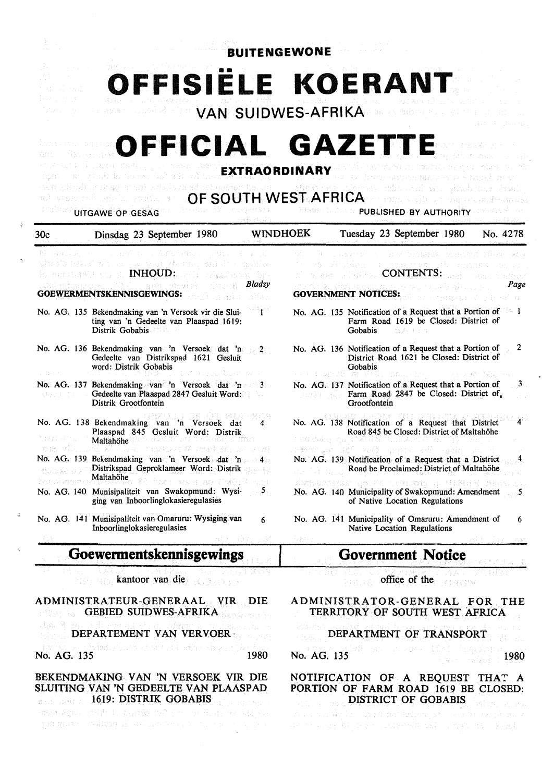| <b>BUITENGEWONE</b>                                                    |                                                                                                                                                                                                                                                                                                                                                                                                       |                            |                                                                 |                                            |                                                                                                                                                                                                                                                                                                          |          |
|------------------------------------------------------------------------|-------------------------------------------------------------------------------------------------------------------------------------------------------------------------------------------------------------------------------------------------------------------------------------------------------------------------------------------------------------------------------------------------------|----------------------------|-----------------------------------------------------------------|--------------------------------------------|----------------------------------------------------------------------------------------------------------------------------------------------------------------------------------------------------------------------------------------------------------------------------------------------------------|----------|
| gas province                                                           | OFFISIELE KOERANT                                                                                                                                                                                                                                                                                                                                                                                     |                            |                                                                 |                                            | VAN SUIDWES-AFRIKA DE AL 2020 ALL                                                                                                                                                                                                                                                                        |          |
|                                                                        | OFFICIAL GAZETTE<br>the mate interests of the<br>man as contribute so he's since<br>an ang kalung sang pangalang sa sa sa mang kalung sa sa pag-agay ng pangalang sa salaw sa salaw sa sangkan sa<br>we show the police of the $\mathsf{OPT}\mathsf{H}\mathsf{WEST}\mathsf{AFRICA}$ is some that the conditions of the $\mathsf{C}\mathsf{A}$<br><b>WE SHOW OF GESAG AND ARREST REPORTS OF STREET</b> | <b>EXTRAORDINARY</b>       |                                                                 |                                            | A have about me as we bunk met<br><b>MARGED AND AND PUBLISHED BY AUTHORITY</b> and all the server                                                                                                                                                                                                        |          |
| 30c                                                                    | Dinsdag 23 September 1980                                                                                                                                                                                                                                                                                                                                                                             | <b>WINDHOEK</b>            |                                                                 |                                            | Tuesday 23 September 1980                                                                                                                                                                                                                                                                                | No. 4278 |
|                                                                        | 1. 日の新しい、この記録との意味というのはない。 初日 最上記<br>ghodo nos Cantan no mar dunha agustica antica<br>io centrativo y el <b>INHOUD:</b> le li<br>alianilares for a<br><b>STATE</b><br>aad phyiri<br>GOEWERMENTSKENNISGEWINGS:                                                                                                                                                                                          | <b>Bladsy</b><br>in Bilgis |                                                                 | あない 女生 きまいにつ<br><b>GOVERNMENT NOTICES:</b> | Har Groupes officed<br>a chebak r⁄ea cath<br><b>SCORE A LORENTS:</b><br>entre de del population de la proposa de la proposa de la proposa de la proposa de la proposa de la proposa de<br>La proposa de la proposa de la proposa de la proposa de la proposa de la proposa de la proposa de la proposa d | Page     |
|                                                                        | No. AG. 135 Bekendmaking van 'n Versoek vir die Slui-<br>ting van 'n Gedeelte van Plaaspad 1619:<br>Distrik Gobabis                                                                                                                                                                                                                                                                                   |                            |                                                                 | Gobabis                                    | No. AG. 135 Notification of a Request that a Portion of 1<br>Farm Road 1619 be Closed: District of<br>d Antonio                                                                                                                                                                                          |          |
|                                                                        | No. AG. 136 Bekendmaking van 'n Versoek dat 'n 2<br>Gedeelte van Distrikspad 1621 Gesluit<br>word: Distrik Gobabis                                                                                                                                                                                                                                                                                    |                            |                                                                 | Gobabis                                    | No. AG. 136 Notification of a Request that a Portion of<br>District Road 1621 be Closed: District of<br>ポキシ にっかおしい ホント・コード イモン あつ (音楽の)上分                                                                                                                                                                |          |
|                                                                        | No. AG. 137 Bekendmaking van 'n Versoek dat 'n 3<br><b>Example 3 Gedeelte van Plaaspad 2847 Gesluit Word:</b><br>Distrik Grootfontein                                                                                                                                                                                                                                                                 |                            |                                                                 | Grootfontein                               | No. AG. 137 Notification of a Request that a Portion of<br>Farm Road 2847 be Closed: District of.                                                                                                                                                                                                        | - 3      |
| tag: ana                                                               | No. AG. 138 Bekendmaking van 'n Versoek dat<br>Plaaspad 845 Gesluit Word: Distrik<br>at te ang pagkat at 19.<br>Maltahöhe<br>we will be $N$ and $N$ and $N$ and $N$                                                                                                                                                                                                                                   |                            | 自動線 冷遠式に なし                                                     |                                            | No. AG. 138 Notification of a Request that District<br>Road 845 be Closed: District of Maltahöhe<br>Formula MC RS Entitle of Barrier in the                                                                                                                                                              |          |
| ។បែលនិង ខេច<br>bugaingan                                               | No. AG. 139 Bekendmaking van 'n Versoek dat 'n 40<br>Distrikspad Geproklameer Word: Distrik<br>Maltahöhe<br>. 20 haar meer as USO: 3 A.H                                                                                                                                                                                                                                                              |                            |                                                                 |                                            | No. AG. 139 Notification of a Request that a District<br>Road be Proclaimed: District of Maltahöhe<br>エンスはなさい Sexus - deb アストリックはいひない コミー 手続任用品 上方のおといいた                                                                                                                                                 |          |
|                                                                        | No. AG. 140 Munisipaliteit van Swakopmund: Wysi-<br>ging van Inboorlinglokasieregulasies                                                                                                                                                                                                                                                                                                              | 5 <sub>1</sub>             |                                                                 |                                            | No. AG. 140 Municipality of Swakopmund: Amendment<br>of Native Location Regulations                                                                                                                                                                                                                      |          |
|                                                                        | No. AG. 141 Munisipaliteit van Omaruru: Wysiging van<br>Inboorlinglokasieregulasies                                                                                                                                                                                                                                                                                                                   | 6                          | 3000                                                            |                                            | No. AG. 141 Municipality of Omaruru: Amendment of<br>Native Location Regulations                                                                                                                                                                                                                         | 6        |
|                                                                        | Goewermentskennisgewings                                                                                                                                                                                                                                                                                                                                                                              |                            |                                                                 |                                            | <b>Government Notice</b>                                                                                                                                                                                                                                                                                 |          |
|                                                                        | kantoor van die                                                                                                                                                                                                                                                                                                                                                                                       |                            |                                                                 |                                            | office of the<br>EN 1980 W                                                                                                                                                                                                                                                                               |          |
| ADMINISTRATEUR-GENERAAL<br>VIR.<br>DIE<br><b>GEBIED SUIDWES-AFRIKA</b> |                                                                                                                                                                                                                                                                                                                                                                                                       |                            | ADMINISTRATOR-GENERAL FOR THE<br>TERRITORY OF SOUTH WEST AFRICA |                                            |                                                                                                                                                                                                                                                                                                          |          |
|                                                                        | aban Si sa cikat mwana a shina ilaafaman a chi<br>DEPARTEMENT VAN VERVOER                                                                                                                                                                                                                                                                                                                             |                            |                                                                 |                                            | Restricts in Metropolis Service<br>DEPARTMENT OF TRANSPORT                                                                                                                                                                                                                                               |          |
| No. AG. 135                                                            | that the substitution of any stable subscription                                                                                                                                                                                                                                                                                                                                                      | 1980                       | No. AG. 135                                                     | <b>FROM STORE BOOKS</b>                    |                                                                                                                                                                                                                                                                                                          | 1980     |
|                                                                        | BEKENDMAKING VAN 'N VERSOEK VIR DIE<br>SLUITING VAN 'N GEDEELTE VAN PLAASPAD<br>1619: DISTRIK GOBABIS                                                                                                                                                                                                                                                                                                 |                            |                                                                 |                                            | NOTIFICATION OF A REQUEST<br>PORTION OF FARM ROAD 1619 BE CLOSED:<br>DISTRICT OF GOBABIS                                                                                                                                                                                                                 | THAT A   |

1619: **DISTRIK GOBABIS**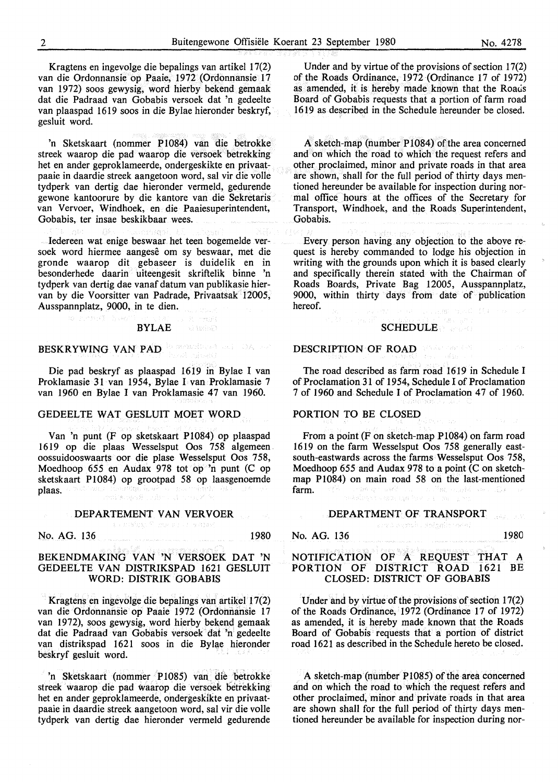Kragtens en ingevolge die bepalings van artikel 17(2) van die Ordonnansie op Paaie, 1972 (Ordonnansie 17 van 1972) soos gewysig, word hierby bekend gemaak dat die Padraad van Gobabis versoek dat 'n gedeelte van plaaspad 1619 soos in die Bylae hieronder beskryf, gesluit word.

'n Sketskaart (nommer P1084) van die betrokke streek waarop die pad waarop die versoek betrekking het en ander geproklameerde, ondergeskikte en privaatpaaie in daardie streek aangetoon word, sal vir die volle tydperk van dertig dae hieronder vermeld, gedurende gewone kantoorure by die kantore van die Sekretaris van Vervoer, Windhoek, en die Paaiesuperintendent, Gobabis, ter insae beskikbaar wees.

Iedereen wat enige beswaar het teen bogemelde versoek word hiermee aangese om sy beswaar, met die gronde waarop dit gebaseer is duidelik en in besonderhede daarin uiteengesit skriftelik binne 'n tydperk van dertig dae vanaf datum van publikasie hiervan by die Voorsitter van Padrade, Privaatsak 12005, Ausspannplatz, 9000, in te dien.

#### 5 K mail BYLAE windows (2)

# BESKRYWING VAN PAD DE SERIES AND DAME

as consult has

Die pad beskryf as plaaspad 1619 in Bylae I van Proklamasie 31 van 1954, Bylae I van Proklamasie 7 van 1960 en Bylae I van Proklamasie 47 van 1960.

## GEDEELTE WAT GESLUIT MOET WORD

Van 'n punt (F op sketskaart P1084) op plaaspad 1619 op die plaas Wesselsput Oos 758 algemeen oossuidooswaarts oor die plase Wesselsput Oos 758, Moedhoop *655* en Audax 978 tot op 'n punt (C op sketskaart P1084) op grootpad 58 op laasgenoemde plaas. enitalism ž

#### DEPARTEMENT VAN VERVOER

subdetive, filling as a transpact

No. AG. 136 1980

#### **BEKENDMAKING VAN 'N VERSOEK DAT 'N**  GEDEELTE **VAN DISTRIKSPAD** 1621 GESLUIT **WORD: DISTRIK GOBABIS**

Kragtens en ingevolge die bepalings van artikel 17(2) van die Ordonnansie op Paaie 1972 (Ordonnansie 17 van 1972), soos gewysig, word hierby bekend gemaak dat die Padraad van Gobabis versoek dat 'n gedeelte van distrikspad 1621 soos in die Bylae hieronder beskryf gesluit word.

'n Sketskaart (nommer P1085) van die betrokke streek waarop die pad waarop die versoek betrekking het en ander geproklameerde, ondergeskikte en privaatpaaie in daardie streek aangetoon word, sal vir die volle tydperk van dertig dae hieronder vermeld gedurende

Under and by virtue of the provisions of section 17(2) of the Roads Ordinance, 1972 (Ordinance 17 of 1972) as amended, it is hereby made known that the Roads Board of Gobabis requests that a portion of farm road 1619 as described in the Schedule hereunder be closed.

A sketch-map (number P1084) of the area concerned and on which the road to which the request refers and other proclaimed, minor and private roads in that area are shown, shall for the full period of thirty days mentioned hereunder be available for inspection during normal office hours at the offices of the Secretary for Transport, Windhoek, and the Roads Superintendent, Gobabis.

Every person having any objection to the above request is hereby commanded to lodge his objection in writing with the grounds upon which it is based clearly and specifically therein stated with the Chairman of Roads Boards, Private Bag 12005, Ausspannplatz, 9000, within thirty days from date of publication hereof.

# **SCHEDULE**

. dak

#### DESCRIPTION OF ROAD

The road described as farm road 1619 in Schedule I of Proclamation 31 of 1954, Schedule I of Proclamation 7 of 1960 and Schedule I of Proclamation 47 of 1960.

#### PORTION TO BE CLOSED

From a point (F on sketch-map P1084) on farm road 1619 on the farm Wesselsput Oos 758 generally eastsouth-eastwards across the farms Wesselsput Oos 758, Moedhoop 655 and Audax 978 to a point  $(C \text{ on sketch-}$ map P1084) on main road 58 on the last-mentioned farm. ang sa K និងដៃស្ថាប័ន យោធារណ្ឌ កែសាលា ខ្ម

#### DEPARTMENT OF TRANSPORT

araturgath shighir ofai

No. AG. 136 1980

-<br>スタル アポ

## NOTIFICATION OF A REQUEST THAT A PORTION OF DISTRICT ROAD 1621 BE CLOSED: DISTRICT OF GOBABIS

Under and by virtue of the provisions of section 17(2) of the Roads Ordinance, 1972 (Ordinance 17 of 1972) as amended, it is hereby made known that the Roads Board of Gobabis requests that a portion of district road 1621 as described in the Schedule hereto be closed.

A sketch-map (number P1085) of the area concerned and on which the road to which the request refers and other proclaimed, minor and private roads in that area are shown shall for the full period of thirty days mentioned hereunder be available for inspection during nor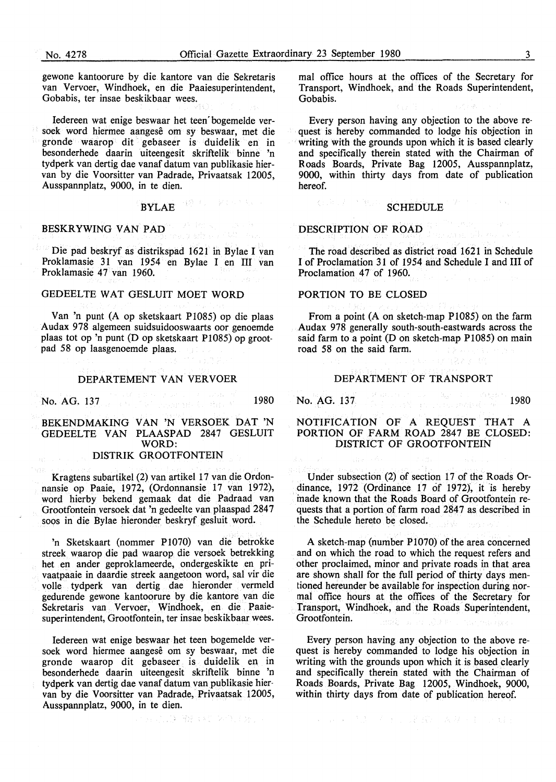gewone kantoorure by die. kantore van die Sekretaris van Vervoer, Windhoek, en die Paaiesuperintendent, Gobabis, ter insae beskikbaar wees.

Iedereen wat enige beswaar bet teen' bogemelde versoek word hiermee aangese om sy beswaar, met die gronde waarop dit gebaseer is duidelik en in besonderhede daarin uiteengesit skriftelik binne 'n tydperk van dertig dae vanaf datum van publikasie biervan by die Voorsitter van Padrade, Privaatsak 12005, Ausspannplatz, 9000, in te dien.

#### 设计, ROSA. BYLAE

#### BESKRYWING VAN PAD

Die pad beskryf as distrikspad 1621 in Bylae I van Proklamasie 31 van 1954 en Bylae I en III van Proklamasie 47 van 1960.

#### GEDEELTE WAT GESLUIT MOET WORD

Van 'n punt (A op sketskaart P1085) op die plaas Audax 978 algemeen suidsuidooswaarts oor genoemde plaas tot op 'n punt (D op sketskaart P1085) op grootpad 58 op laasgenoemde plaas.

#### DEPARTEMENT **VAN VERVOER**

**No. AG.** 137 **1980** 

#### BEKENDMAKING VAN 'N VERSOEK DAT 'N GEDEELTE VAN PLAASPAD 2847 GESLUIT WORD: DISTRIK GROOTFONTEIN

Kragtens subartikel (2) van artikel 17 van die Ordonnansie op Paaie, 1972, (Ordonnansie 17 van 1972), word hierby bekend gemaak dat die Padraad van Grootfontein versoek dat 'n gedeelte van plaaspad 2847 soos in die Bylae hieronder beskryf gesluit word.

'n Sketskaart (nommer P1070) van die betrokke streek waarop die pad waarop die versoek betrekking het en ander geproklameerde, ondergeskikte en privaatpaaie in daardie streek aangetoon word, sal vir die volle tydperk van dertig dae hieronder vermeld gedurende gewone kantoorure by die kantore van die Sekretaris van Vervoer, Windhoek, en die Paaiesuperintendent, Grootfontein, ter insae beskikbaar wees.

ledereen wat enige beswaar bet teen bogemelde versoek word hiermee aangese om sy beswaar, met die gronde waarop dit gebaseer is duidelik en in besonderhede daarin uiteengesit skriftelik binne 'n tydperk van dertig dae vanaf datum van publikasie hiervan by die Voorsitter van Padrade, Privaatsak 12005, Ausspannplatz, 9000, in te dien.

第五章 整个项目是,

mal office hours at the offices of the Secretary for Transport, Windhoek, and the Roads Superintendent, Gobabis.

Every person having any objection to the above request is hereby commanded to lodge his objection in writing with the grounds upon which it is based clearly and specifically therein stated with the Chairman of Roads Boards, Private Bag 12005, Ausspannplatz, 9000, within thirty days from date of publication hereof.

#### 《山中山》 医原中 **SCHEDULE**

#### **DESCRIPTION** OF **ROAD**

The road described as district road 1621 in Schedule I of Proclamation 31 of 1954 and Schedule I and III of Proclamation 47 of 1960.

#### PORTION TO BE CLOSED

From a point (A on sketch-map P1085) on the farm Audax 978 generally south-south-eastwards across the said farm to a point (D on sketch-map P1085) on main road 58 on the said farm.

#### DEPARTMENT OF TRANSPORT

·日本自身とする時

**No. AG. 137 1980** 

#### NOTIFICATION OF A REQUEST THAT A PORTION OF FARM ROAD 2847 BE CLOSED: DISTRICT OF GROOTFONTEIN

Under subsection (2) of section 17 of the Roads Ordinance, 1972 (Ordinance 17 of 1972), it is hereby made known that the Roads Board of Grootfontein requests that a portion of farm road 2847 as described in the Schedule hereto be closed.

A sketch-map (number P1070) of the area concerned and on which the road to which the request refers and other proclaimed, minor and private roads in that area are shown shall for the full period of thirty days mentioned hereunder be available for inspection during normal office hours at the offices of the Secretary for Transport, Windhoek, and the Roads Superintendent, Grootfontein.

Every person having any objection to the above request is hereby commanded to lodge his objection in writing with the grounds upon which it is based clearly and specifically therein stated with the Chairman of Roads Boards, Private Bag 12005, Windhoek, 9000, within thirty days from date of publication hereof.

(A) mode 12 (A) mode 22 (K) (A) R + E (F) H +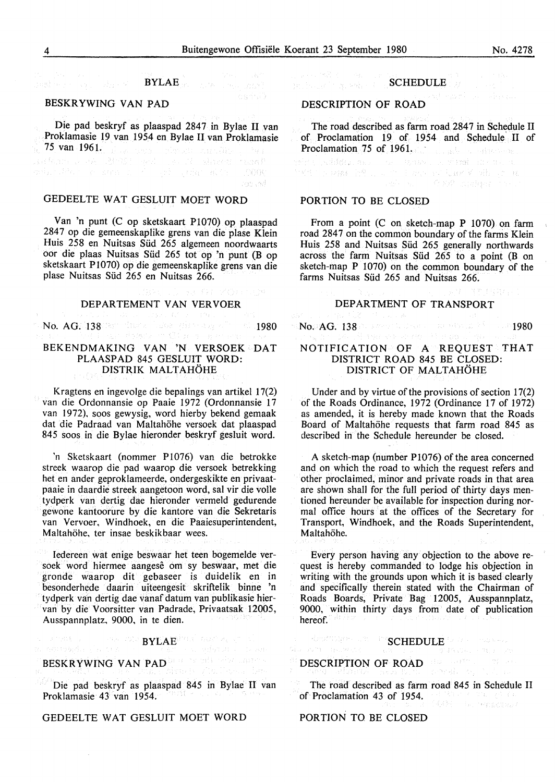# $\pmb{BYLAE}_{\text{RCE}} = \mathbb{E} \left[ \begin{smallmatrix} \mathbb{E}[\mathbf{e}_{11} & \mathbb{E}[\mathbf{e}_{12}^{(1)}] \\ \mathbb{E}[\mathbf{e}_{11}^{(1)} & \mathbb{E}[\mathbf{e}_{11}^{(1)}] \\ \mathbb{E}[\mathbf{e}_{11}^{(1)}] & \mathbb{E}[\mathbf{e}_{12}^{(1)}] \end{smallmatrix} \right]$

#### BESKR YWING VAN PAD

Die pad beskryf as plaaspad 2847 in Bylae II van Proklamasie 19 van 1954 en Bylae II van Proklamasie 75 van 1961.

## GEDEELTE WAT GESLUIT MOET WORD

Van 'n punt (C op sketskaart P1070) op plaaspad 2847 op die gemeenskaplike grens van die plase Klein Huis 258 en Nuitsas Sild 265 algemeen noordwaarts oor die plaas Nuitsas Sild 265 tot op 'n punt (B op sketskaart P1070) op die gemeenskaplike grens van die plase Nuitsas Süd 265 en Nuitsas 266.

#### DEPARTEMENT VAN VERVOER

No. AG. 138 1980 dina base gliste asymbia (1980)<br>And Louis in the distribution City of the present several

#### BEKENDMAKING VAN 'N VERSOEK DAT PLAASPAD 845 GESLUIT WORD: DISTRIK MALTAHOHE

Kragtens en ingevolge die bepalings van artikel 17(2) van die Ordonnansie op Paaie 1972 (Ordonnansie 17 van 1972), soos gewysig, word hierby bekend gemaak dat die Padraad van Maltahöhe versoek dat plaaspad 845 soos in die Bylae hieronder beskryf gesluit word.

'n Sketskaart (nommer PI076) van die betrokke streek waarop die pad waarop die versoek betrekking het en ander geproklameerde, ondergeskikte en privaatpaaie in daardie streek aangetoon word, sal vir die volle tydperk van dertig dae hieronder vermeld gedurende gewone kantoorure by die kantore van die Sekretaris van Vervoer, Windhoek, en die Paaiesuperintendent, Maltahöhe, ter insae beskikbaar wees.

Iedereen wat enige beswaar het teen bogemelde versoek word hiermee aangese om sy beswaar, met die gronde waarop dit gebaseer is duidelik en in besonderhede daarin uiteengesit skriftelik binne 'n tydperk van dertig dae vanaf datum van publikasie hiervan by die Voorsitter van Padrade, Privaatsak 12005, Ausspannplatz, 9000, in te dien.

> $\label{eq:1} \frac{1}{\sqrt{2}}\int_{0}^{\infty} \frac{d^2\mathbf{q}}{2\pi} \left( \frac{d^2\mathbf{p}}{2\pi} \right)^2 \frac{d^2\mathbf{p}}{2\pi} \frac{d^2\mathbf{p}}{2\pi} \frac{d^2\mathbf{p}}{2\pi} \frac{d^2\mathbf{p}}{2\pi} \frac{d^2\mathbf{p}}{2\pi} \frac{d^2\mathbf{p}}{2\pi} \frac{d^2\mathbf{p}}{2\pi} \frac{d^2\mathbf{p}}{2\pi} \frac{d^2\mathbf{p}}{2\pi$ BYLAE<sup>NTER</sup> AUCTION

#### al escolaria da cel adench is trade

#### BESKRYWING VAN PAD SERVERS ENDED ale gialiano ba

Die pad beskryf as plaaspad 845 in Bylae II van Proklamasie 43 van 1954.

#### GEDEELTE WAT GESLUIT MOET WORD

Sample Book

n see 38 de eeu n.C.<br>Britswee begreek en d SCHEDULE

#### DESCRIPTION OF ROAD

The road described as farm road 2847 in Schedule II of Proclamation 19 of 1954 and Schedule' II of

**Proclamation 75 of 1961.**<br>State is stable and the second state in the second state in the second state in the second state in the second state in the second state in the second state in the second state in the second stat

#### PORTION TO BE CLOSED

From a point (C on sketch-map P 1070) on farm road 2847 on the common boundary of the farms Klein Huis 258 and Nuitsas Süd 265 generally northwards across the farm Nuitsas Sild 265 to a point (B on sketch-map P 1070) on the common boundary of the farms Nuitsas Süd 265 and Nuitsas 266.

#### DEPARTMENT OF TRANSPORT

No. 4G. 138 in street to develop the strength of the anti-1980  $\sim$ 

#### NOTIFICATION OF A REQUEST THAT DISTRICT ROAD 845 BE CLOSED: DISTRICT OF MALTAHÖHE

Under and by virtue of the provisions of section 17(2) of the Roads Ordinance, 1972 (Ordinance 17 of 1972) as amended, it is hereby made known that the Roads Board of Maltahöhe requests that farm road 845 as described in the Schedule hereunder be closed.

A sketch-map (number PI076) of the area concerned and on which the road to which the request refers and other proclaimed, minor and private roads in that area are shown shall for the full period of thirty days mentioned hereunder be available for inspection during normal office hours at the offices of the Secretary for Transport, Windhoek, and the Roads Superintendent, Maltahöhe.

Every person having any objection to the above request is hereby commanded to lodge his objection in writing with the grounds upon which it is based clearly and specifically therein stated with the Chairman of Roads Boards, Private Bag 12005, Ausspannplatz, 9000, within thirty days from date of publication hereof.

#### Reamages und in **SCHEDULE Section**

DESCRIPTION OF ROAD

The road described as farm road 845 in Schedule II of Proclamation 43 of 1954. .<br>MARET BALTERBERGER

PORTION TO BE CLOSED

Season's

ash ad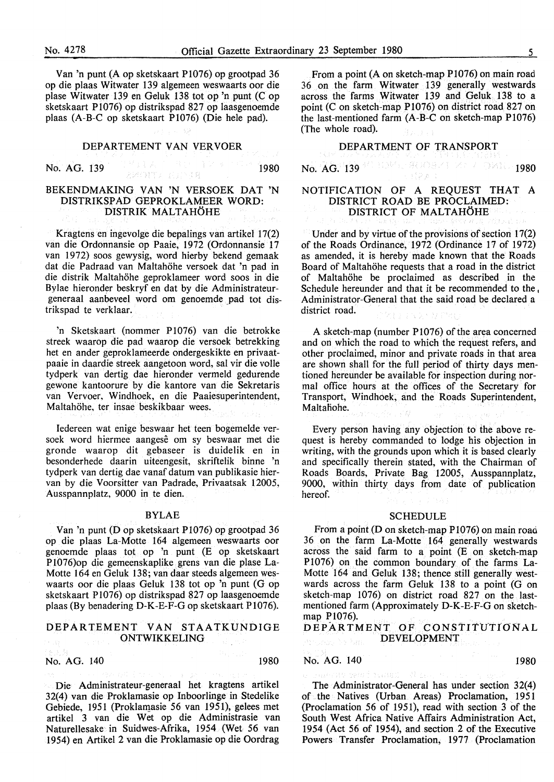Van 'n punt (A op sketskaart P1076) op grootpad 36 op die plaas Witwater 139 algemeen weswaarts oor die plase Witwater 139 en Geluk 138 tot op 'n punt (C op sketskaart P1076) op distrikspad 827 op laasgenoemde plaas (A-B-C op sketskaart Pl076) (Die hele pad).

#### DEPARTEMENT VAN VERVOER

No. AG. 139 **1980** 

#### **BEKENDMAKING VAN 'N VERSOEK DAT 'N DISTRIKSPAD GEPROKLAMEER WORD: DISTRIK MALTAHOHE**

Kragtens en ingevolge die bepalings van artikel 17(2) van die Ordonnansie op Paaie, 1972 (Ordonnansie 17 van 1972) soos gewysig, word hierby bekend gemaak dat die Padraad van Maltahohe versoek dat 'n pad in die distrik Maltahohe geproklameer word soos in die Bylae hieronder beskryf en dat by die Administrateurgeneraal aanbeveel word om genoemde pad tot distrikspad te verklaar.

'n Sketskaart (nommer P1076) van die betrokke streek waarop die pad waarop die versoek betrekking het en ander geproklameerde ondergeskikte en privaatpaaie in daardie streek aangetoon word, sat vir die volle tydperk van dertig dae hieronder vermeld gedurende gewone kantoorure by die kantore van die Sekretaris van Vervoer, Windhoek, en die Paaiesuperintendent, Maltahohe, ter insae beskikbaar wees.

Iedereen wat enige beswaar het teen bogemelde versoek word hiermee aangese om sy beswaar met die gronde waarop dit gebaseer is duidelik en in besonderhede daarin uiteengesit, skriftelik binne 'n tydperk van dertig dae vanaf datum van publikasie hiervan by die Voorsitter van Padrade, Privaatsak 12005, Ausspannplatz, 9000 in te dien.

#### **BYLAE**

Van 'n punt (D op sketskaart P1076) op grootpad 36 op die plaas La-Motte 164 algemeen weswaarts oor genoemde plaas tot op 'n punt (E op sketskaart P1076)op die gemeenskaplike grens van die plase La-Motte 164 en Geluk 138; van daar steeds algemeen weswaarts oor die plaas Geluk 138 tot op 'n punt (G op sketskaart Pl076) op distrikspad 827 op laasgenoemde plaas (By benadering D-K-E-F-G op sketskaart P1076).

#### **DEPARTEMENT VAN STAATKUNDIGE ONTWIKKELING**

#### No. AG. 140 1980

Die Administrateur-generaal het kragtens artikel 32(4) van die Proklamasie op Inboorlinge in Stedelike Gebiede, 1951 (Proklamasie 56 van 1951), gelees met artikel 3 van die Wet op die Administrasie van Naturellesake in Suidwes-Afrika, 1954 (Wet 56 van 1954) en Artikel 2 van die Proklamasie op die Oordrag

From a point (A on sketch-map P1076) on main road 36 on the farm Witwater 139 generally westwards across the farms Witwater 139 and Geluk 138 to a point (C on sketch-map P1076) on district road 827 on the last-mentioned farm (A-B-C on sketch-map P1076) (The whole road).

#### DEPARTMENT OF TRANSPORT

No.  $AG^{(1)}$ 139 108 1080 1980 0821 2007 1980

#### NOTIFICATION OF A REQUEST THAT A DISTRICT ROAD BE PROCLAIMED: DISTRICT OF MALTAHOHE

Under and by virtue of the provisions of section 17(2) of the Roads Ordinance, 1972 (Ordinance 17 of 1972) as amended, it is hereby made known that the Roads Board of Maltahohe requests that a road in the district of Maltahohe be proclaimed as described in the Schedule hereunder and that it be recommended to the , Administrator-General that the said road be declared a district road. ミスラ・ガミ

A sketch-map (number P1076) of the area concerned and on which the road to which the request refers, and other proclaimed, minor and private roads in that area are shown shall for the full period of thirty days mentioned hereunder be available for inspection during normal office hours at the offices of the Secretary for Transport, Windhoek, and the Roads Superintendent, Maltaliohe.

Every person having any objection to the above request is hereby commanded to lodge his objection in writing, with the grounds upon which it is based clearly and specifically therein stated, with the Chairman of Roads Boards, Private Bag 12005, Ausspannplatz, 9000, within thirty days from date of publication hereof.

#### **SCHEDULE**

From a point (D on sketch-map P1076) on main road 36 on the farm La-Motte 164 generally westwards across the said farm to a point (E on sketch-map P 1076) on the common boundary of the farms La-Motte 164 and Geluk 138; thence still generally westwards across the farm Geluk 138 to a point (G on sketch-map 1076) on district road 827 on the lastmentioned farm (Approximately D-K-E-F-G on sketchmap Pl076).

DEPARTMENT OF CONSTITUTIONAL DEVELOPMENT

#### No. AG. 140 1980

The Administrator-General has under section 32(4) of the Natives (Urban Areas) Proclamation, 1951 (Proclamation 56 of 1951), read with section 3 of the South West Africa Native Affairs Administration Act, 1954 (Act 56 of 1954), and section 2 of the Executive Powers Transfer Proclamation, 1977 (Proclamation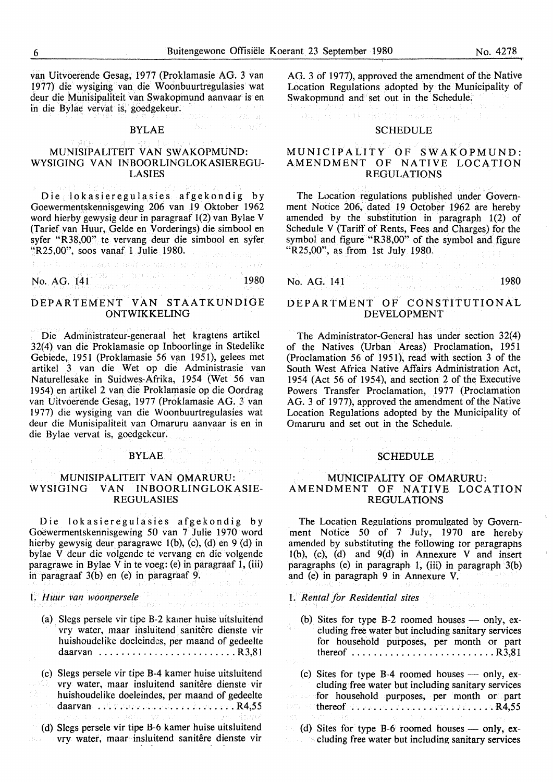van Uitvoerende Gesag, 1977 (Proklamasie AG. 3 van 1977) die wysiging van die Woonbuurtregulasies wat deur die Munisipaliteit van Swakopmund aanvaar is en in die Bylae vervat is, goedgekeur.<br>BYLAE in die Bylae vervat is, goedgekeur.

#### BYLAE

#### MUNISIPALITEIT VAN SWAKOPMUND: WYSIGING VAN INBOORLINGLOKASIEREGU-LASIES

Die lokasieregulasies afgekondig by Goewermentskennisgewing 206 van 19 Oktober 1962 word hierby gewysig deur in paragraaf 1(2) van Bylae V (Tarief van Huur, Gelde en Vorderings) die simbool en syfer "R38,00" te vervang deur die simbool en syfer "R25,00", soos vanaf 1 Julie 1980. with an actually a settled process of what the transfer

No. AG. 141 1980 1980 1980 1980

#### DEPARTEMENT VAN STAATKUNDIGE **ONTWIKKELING**

Die Administrateur-generaal het kragtens artikel 32(4) van die Proklamasie op Inboorlinge in Stedelike Gebiede, 1951 (Proklamasie 56 van 1951), gelees met artikel 3 van die Wet op die Administrasie van Naturellesake in Suidwes-Afrika, 1954 (Wet 56 van 1954) en artikel 2 van die Proklamasie op die Oordrag van Uitvoerende Gesag, 1977 (Proklamasie AG. 3 van 1977) die wysiging van die Woonbuurtregulasies wat deur die Munisipaliteit van Omaruru aanvaar is en in die Bylae vervat is, goedgekeur.  $\frac{1}{2} \frac{1}{2} \frac{1}{2} \frac{1}{2} \frac{1}{2}$  .

# **BYLAE And the second of the second of the second of the second of the second of the second of the second of the second of the second of the second of the second of the second of the second of the second of the second of**

## **MUNISIPALITEIT VAN OMARURU: WYSIGING VAN INBOORLINGLOKASIE-REGULASIES**

Die lokasieregulasies afgekondig by Goewermentskennisgewing 50 van 7 Julie 1970 word hierby gewysig deur paragrawe 1(b), (c), (d) en 9 (d) in bylae V deur die volgende te vervang en die volgende paragrawe in Bylae Vin te voeg: (e) in paragraaf 1, (iii) in paragraaf 3(b) en (e) in paragraaf 9.

I. *Huur van woonpersele* 

- (a) Slegs persele vir tipe B-2 kamer huise uitsluitend vry water, maar insluitend sanitêre dienste vir huishoudelike doeleindcs, per maand of gedeelte daarvan ............................R3,81
- (c) Slegs persele vir tipe B-4 kamer huise uitsluitend vry water, maar insluitend sanitêre dienste vir huishoudelike doeleindes, per maand of gedeelte daarvan .................................. R4,55 (d) Slegs persele vir tipe H-6 kamer huise uitsluitend vry water, maar insluitend sanitêre dienste vir

AG. 3 of 1977), approved the amendment of the Native Location Regulations adopted by the Municipality of Swakopmund and set out in the Schedule.

## (数据) (1) 图 6 (4) (2) (2) (3) 图 4 (4) 图 42 (3) 图 2 (3) (3) **SCHEDULE**

#### MUNICIPALITY OF SWAKOPMUND: AMENDMENT OF NATIVE LOCATION REGULATIONS

The Location regulations published under Government Notice 206, dated 19 October 1962 are hereby amended by the substitution in paragraph 1(2) of Schedule V (Tariff of Rents, Fees and Charges) for the symbol and figure "R38,00" of the symbol and figure "R25,00", as from 1st July 1980.

No. AG. 141 1980

#### DEPARTMENT OF CONSTITUTIONAL DEVELOPMENT

The Administrator-General has under section 32(4) of the Natives (Urban Areas) Proclamation, 1951 (Proclamation 56 of 1951), read with section 3 of the South West Africa Native Affairs Administration Act, 1954 (Act 56 of 1954), and section 2 of the Executive Powers Transfer Proclamation, 1977 (Proclamation AG. 3 of 1977), approved the amendment of the Native Location Regulations adopted by the Municipality of Omaruru and set out in the Schedule.

# **SCHEDULE**

#### MUNICIPALITY OF OMARURU: AMENDMENT OF NATIVE LOCATION REGULATIONS

The Location Regulations promulgated by Government Notice 50 of 7 July, 1970 are hereby amended by substituting the following tor paragraphs l(b), (c), (d) and 9(d) in Annexure V and insert paragraphs (e) in paragraph 1, (iii) in paragraph 3(b) and (e) in paragraph 9 in Annexure V.

1. *Rental for Residential sites* 

- (b) Sites for type B-2 roomed houses  $-$  only, excluding free water but including sanitary services for household purposes, per month or part thereof .......................... R3,81
- (c) Sites for type  $B-4$  roomed houses only, excluding free water but including sanitary services for household purposes, per month or part esca 50 thereof .......................... R4,55  $\mathcal{L}^{(q)}_{\alpha}$

(d) Sites for type B-6 roomed houses  $-$  only, ex- $\therefore$  cluding free water but including sanitary services